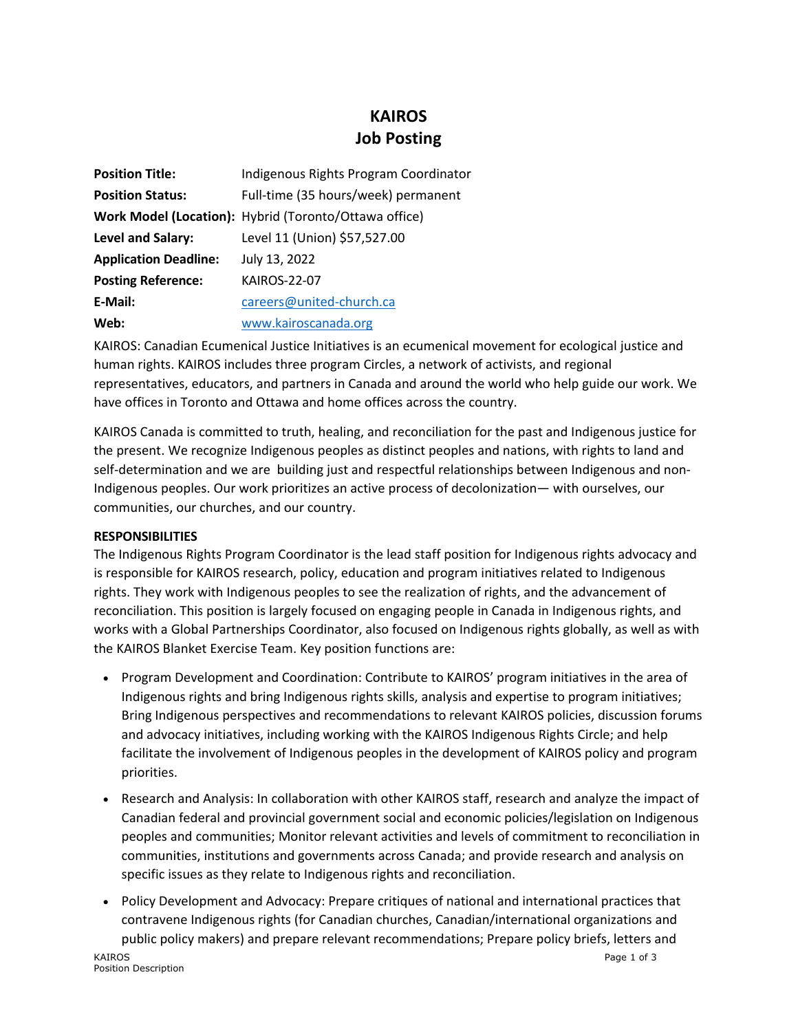## **KAIROS Job Posting**

| <b>Position Title:</b>       | Indigenous Rights Program Coordinator                 |
|------------------------------|-------------------------------------------------------|
| <b>Position Status:</b>      | Full-time (35 hours/week) permanent                   |
|                              | Work Model (Location): Hybrid (Toronto/Ottawa office) |
| Level and Salary:            | Level 11 (Union) \$57,527.00                          |
| <b>Application Deadline:</b> | July 13, 2022                                         |
| <b>Posting Reference:</b>    | <b>KAIROS-22-07</b>                                   |
| E-Mail:                      | careers@united-church.ca                              |
| Web:                         | www.kairoscanada.org                                  |

KAIROS: Canadian Ecumenical Justice Initiatives is an ecumenical movement for ecological justice and human rights. KAIROS includes three program Circles, a network of activists, and regional representatives, educators, and partners in Canada and around the world who help guide our work. We have offices in Toronto and Ottawa and home offices across the country.

KAIROS Canada is committed to truth, healing, and reconciliation for the past and Indigenous justice for the present. We recognize Indigenous peoples as distinct peoples and nations, with rights to land and self-determination and we are building just and respectful relationships between Indigenous and non-Indigenous peoples. Our work prioritizes an active process of decolonization— with ourselves, our communities, our churches, and our country.

## **RESPONSIBILITIES**

The Indigenous Rights Program Coordinator is the lead staff position for Indigenous rights advocacy and is responsible for KAIROS research, policy, education and program initiatives related to Indigenous rights. They work with Indigenous peoples to see the realization of rights, and the advancement of reconciliation. This position is largely focused on engaging people in Canada in Indigenous rights, and works with a Global Partnerships Coordinator, also focused on Indigenous rights globally, as well as with the KAIROS Blanket Exercise Team. Key position functions are:

- Program Development and Coordination: Contribute to KAIROS' program initiatives in the area of Indigenous rights and bring Indigenous rights skills, analysis and expertise to program initiatives; Bring Indigenous perspectives and recommendations to relevant KAIROS policies, discussion forums and advocacy initiatives, including working with the KAIROS Indigenous Rights Circle; and help facilitate the involvement of Indigenous peoples in the development of KAIROS policy and program priorities.
- Research and Analysis: In collaboration with other KAIROS staff, research and analyze the impact of Canadian federal and provincial government social and economic policies/legislation on Indigenous peoples and communities; Monitor relevant activities and levels of commitment to reconciliation in communities, institutions and governments across Canada; and provide research and analysis on specific issues as they relate to Indigenous rights and reconciliation.
- Policy Development and Advocacy: Prepare critiques of national and international practices that contravene Indigenous rights (for Canadian churches, Canadian/international organizations and public policy makers) and prepare relevant recommendations; Prepare policy briefs, letters and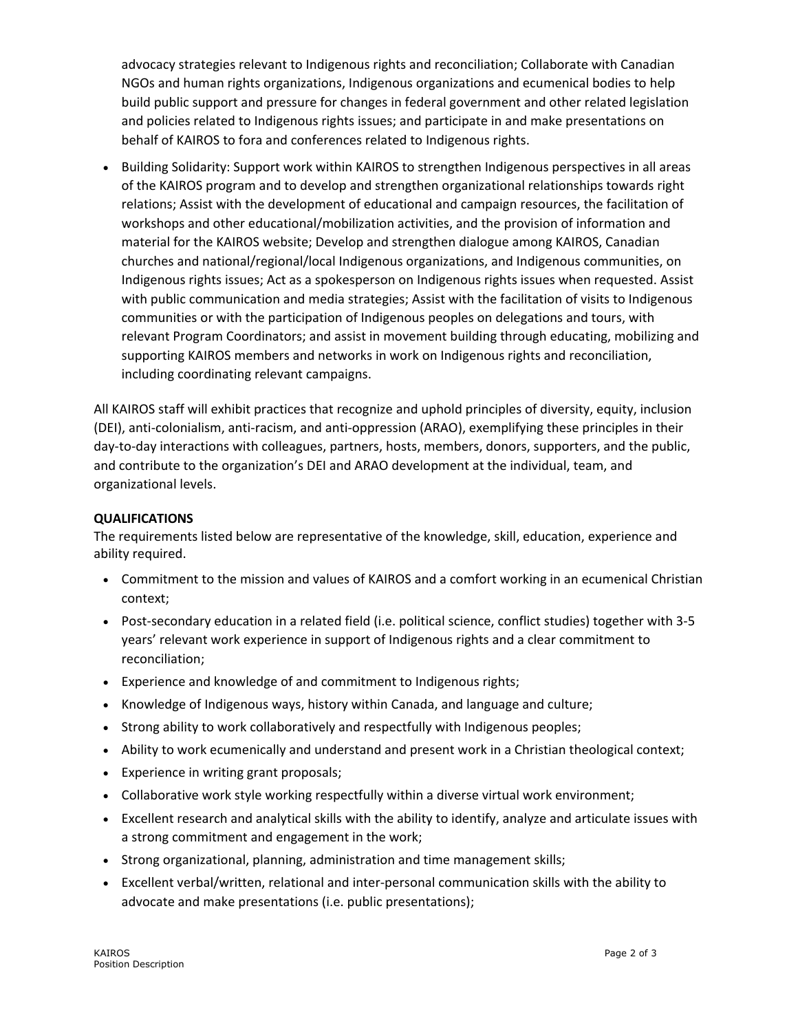advocacy strategies relevant to Indigenous rights and reconciliation; Collaborate with Canadian NGOs and human rights organizations, Indigenous organizations and ecumenical bodies to help build public support and pressure for changes in federal government and other related legislation and policies related to Indigenous rights issues; and participate in and make presentations on behalf of KAIROS to fora and conferences related to Indigenous rights.

• Building Solidarity: Support work within KAIROS to strengthen Indigenous perspectives in all areas of the KAIROS program and to develop and strengthen organizational relationships towards right relations; Assist with the development of educational and campaign resources, the facilitation of workshops and other educational/mobilization activities, and the provision of information and material for the KAIROS website; Develop and strengthen dialogue among KAIROS, Canadian churches and national/regional/local Indigenous organizations, and Indigenous communities, on Indigenous rights issues; Act as a spokesperson on Indigenous rights issues when requested. Assist with public communication and media strategies; Assist with the facilitation of visits to Indigenous communities or with the participation of Indigenous peoples on delegations and tours, with relevant Program Coordinators; and assist in movement building through educating, mobilizing and supporting KAIROS members and networks in work on Indigenous rights and reconciliation, including coordinating relevant campaigns.

All KAIROS staff will exhibit practices that recognize and uphold principles of diversity, equity, inclusion (DEI), anti-colonialism, anti-racism, and anti-oppression (ARAO), exemplifying these principles in their day-to-day interactions with colleagues, partners, hosts, members, donors, supporters, and the public, and contribute to the organization's DEI and ARAO development at the individual, team, and organizational levels.

## **QUALIFICATIONS**

The requirements listed below are representative of the knowledge, skill, education, experience and ability required.

- Commitment to the mission and values of KAIROS and a comfort working in an ecumenical Christian context;
- Post-secondary education in a related field (i.e. political science, conflict studies) together with 3-5 years' relevant work experience in support of Indigenous rights and a clear commitment to reconciliation;
- Experience and knowledge of and commitment to Indigenous rights;
- Knowledge of Indigenous ways, history within Canada, and language and culture;
- Strong ability to work collaboratively and respectfully with Indigenous peoples;
- Ability to work ecumenically and understand and present work in a Christian theological context;
- Experience in writing grant proposals;
- Collaborative work style working respectfully within a diverse virtual work environment;
- Excellent research and analytical skills with the ability to identify, analyze and articulate issues with a strong commitment and engagement in the work;
- Strong organizational, planning, administration and time management skills;
- Excellent verbal/written, relational and inter-personal communication skills with the ability to advocate and make presentations (i.e. public presentations);